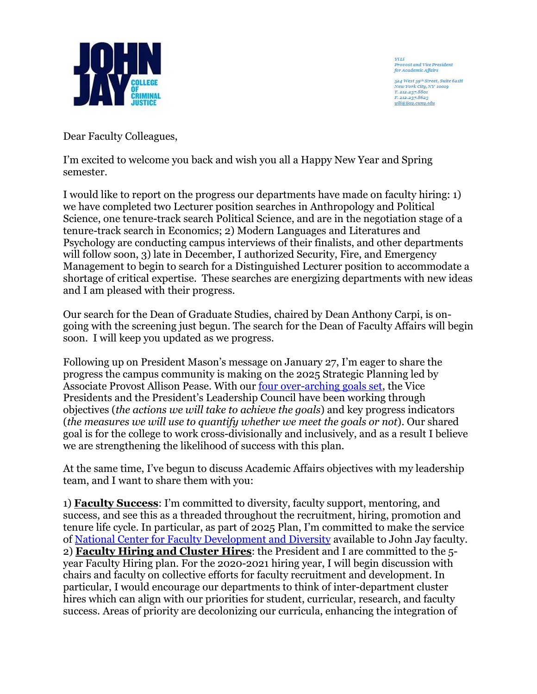

YiLi Provost and Vice President<br>for Academic Affairs

524 West 59th Street, Suite 621H **Vew York City, NY 10019** T. 212.237.8801 F. 212.237.8623 yili@jjay.cuny.edu

Dear Faculty Colleagues,

I'm excited to welcome you back and wish you all a Happy New Year and Spring semester.

I would like to report on the progress our departments have made on faculty hiring: 1) we have completed two Lecturer position searches in Anthropology and Political Science, one tenure-track search Political Science, and are in the negotiation stage of a tenure-track search in Economics; 2) Modern Languages and Literatures and Psychology are conducting campus interviews of their finalists, and other departments will follow soon, 3) late in December, I authorized Security, Fire, and Emergency Management to begin to search for a Distinguished Lecturer position to accommodate a shortage of critical expertise. These searches are energizing departments with new ideas and I am pleased with their progress.

Our search for the Dean of Graduate Studies, chaired by Dean Anthony Carpi, is ongoing with the screening just begun. The search for the Dean of Faculty Affairs will begin soon. I will keep you updated as we progress.

Following up on President Mason's message on January 27, I'm eager to share the progress the campus community is making on the 2025 Strategic Planning led by Associate Provost Allison Pease. With our [four over-arching goals set,](http://johnjay.jjay.cuny.edu/strategic-plan-2020/x.asp#phase3) the Vice Presidents and the President's Leadership Council have been working through objectives (*the actions we will take to achieve the goals*) and key progress indicators (*the measures we will use to quantify whether we meet the goals or not*). Our shared goal is for the college to work cross-divisionally and inclusively, and as a result I believe we are strengthening the likelihood of success with this plan.

At the same time, I've begun to discuss Academic Affairs objectives with my leadership team, and I want to share them with you:

1) **Faculty Success**: I'm committed to diversity, faculty support, mentoring, and success, and see this as a threaded throughout the recruitment, hiring, promotion and tenure life cycle. In particular, as part of 2025 Plan, I'm committed to make the service of [National Center for Faculty Development and Diversity](https://www.facultydiversity.org/) available to John Jay faculty. 2) **Faculty Hiring and Cluster Hires**: the President and I are committed to the 5 year Faculty Hiring plan. For the 2020-2021 hiring year, I will begin discussion with chairs and faculty on collective efforts for faculty recruitment and development. In particular, I would encourage our departments to think of inter-department cluster hires which can align with our priorities for student, curricular, research, and faculty success. Areas of priority are decolonizing our curricula, enhancing the integration of